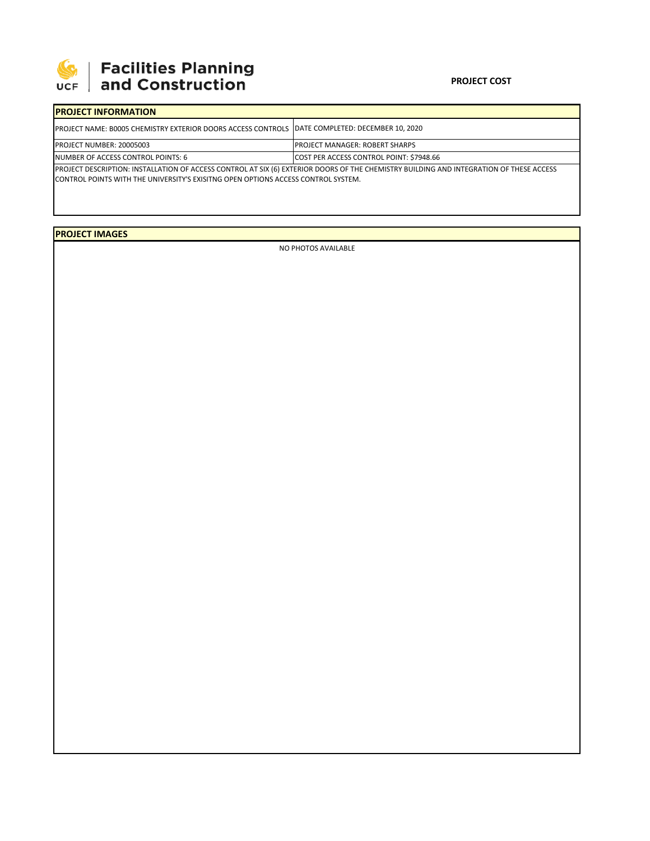

## **SEPTE AND Facilities Planning**<br>UCF and Construction

## **PROJECT COST**

| <b>IPROJECT INFORMATION</b>                                                                                                                                                                                                         |                                                 |  |  |  |  |
|-------------------------------------------------------------------------------------------------------------------------------------------------------------------------------------------------------------------------------------|-------------------------------------------------|--|--|--|--|
| <b>IPROJECT NAME: B0005 CHEMISTRY EXTERIOR DOORS ACCESS CONTROLS IDATE COMPLETED: DECEMBER 10, 2020</b>                                                                                                                             |                                                 |  |  |  |  |
| <b>PROJECT NUMBER: 20005003</b>                                                                                                                                                                                                     | <b>PROJECT MANAGER: ROBERT SHARPS</b>           |  |  |  |  |
| NUMBER OF ACCESS CONTROL POINTS: 6                                                                                                                                                                                                  | <b>COST PER ACCESS CONTROL POINT: \$7948.66</b> |  |  |  |  |
| PROJECT DESCRIPTION: INSTALLATION OF ACCESS CONTROL AT SIX (6) EXTERIOR DOORS OF THE CHEMISTRY BUILDING AND INTEGRATION OF THESE ACCESS<br><b>CONTROL POINTS WITH THE UNIVERSITY'S EXISITNG OPEN OPTIONS ACCESS CONTROL SYSTEM.</b> |                                                 |  |  |  |  |

**PROJECT IMAGES**

NO PHOTOS AVAILABLE